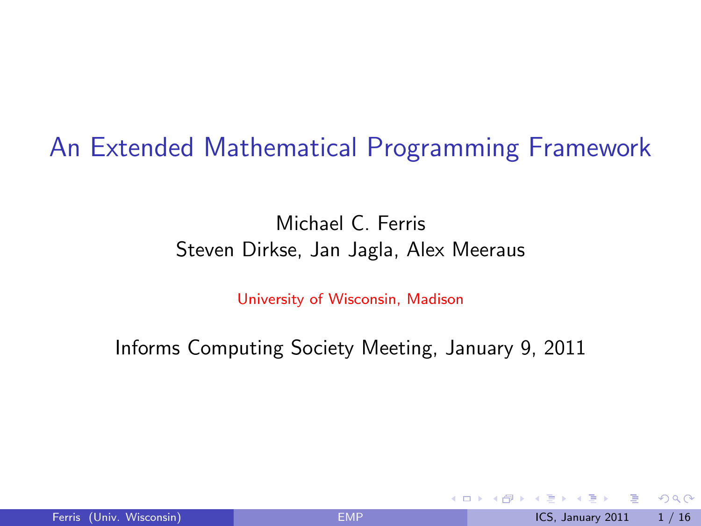An Extended Mathematical Programming Framework

### Michael C. Ferris Steven Dirkse, Jan Jagla, Alex Meeraus

University of Wisconsin, Madison

Informs Computing Society Meeting, January 9, 2011

<span id="page-0-0"></span>4 0 8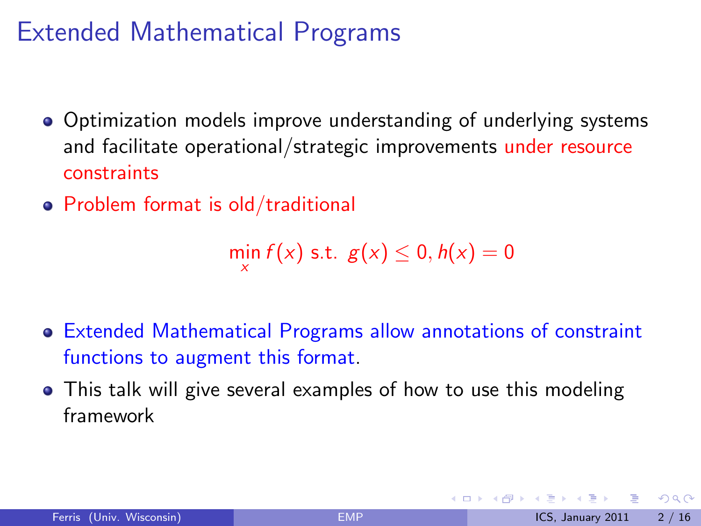# Extended Mathematical Programs

- Optimization models improve understanding of underlying systems and facilitate operational/strategic improvements under resource constraints
- Problem format is old/traditional

 $\min_{x} f(x)$  s.t.  $g(x) \leq 0, h(x) = 0$ 

- Extended Mathematical Programs allow annotations of constraint functions to augment this format.
- This talk will give several examples of how to use this modeling framework

<span id="page-1-0"></span> $QQQ$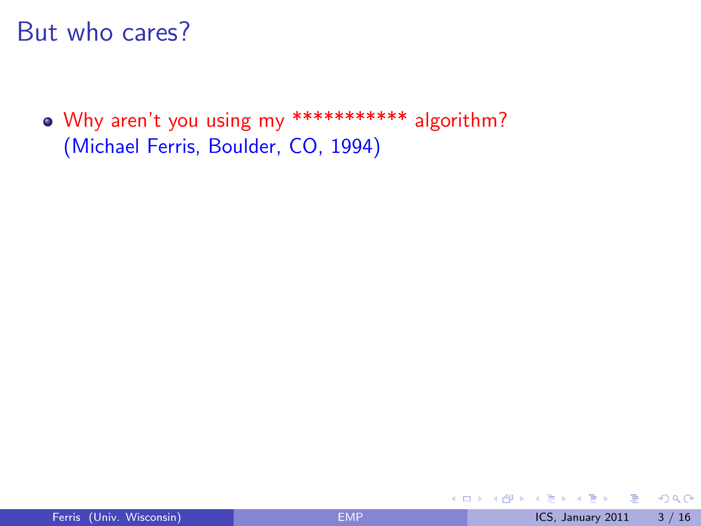### But who cares?

Why aren't you using my \*\*\*\*\*\*\*\*\*\*\* algorithm? (Michael Ferris, Boulder, CO, 1994)

4 日下

**∢ 何 ≯ →** 

画

na m≊

 $\sim$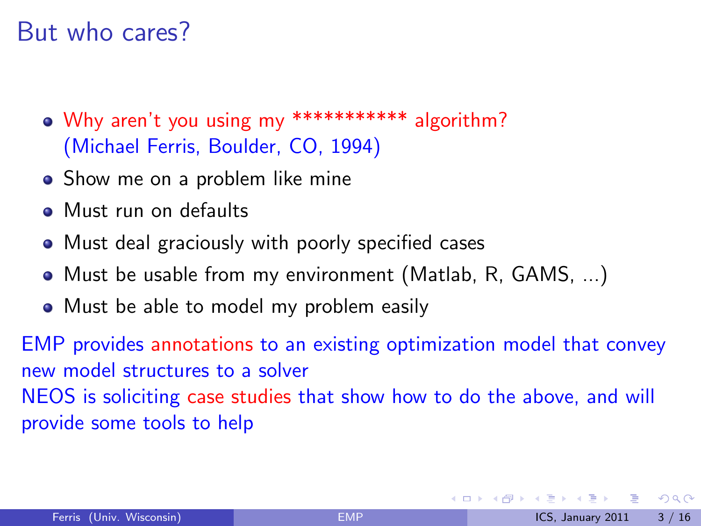## But who cares?

- Why aren't you using my \*\*\*\*\*\*\*\*\*\*\* algorithm? (Michael Ferris, Boulder, CO, 1994)
- Show me on a problem like mine
- Must run on defaults
- Must deal graciously with poorly specified cases
- Must be usable from my environment (Matlab, R, GAMS, ...)
- Must be able to model my problem easily

EMP provides annotations to an existing optimization model that convey new model structures to a solver NEOS is soliciting case studies that show how to do the above, and will provide some tools to help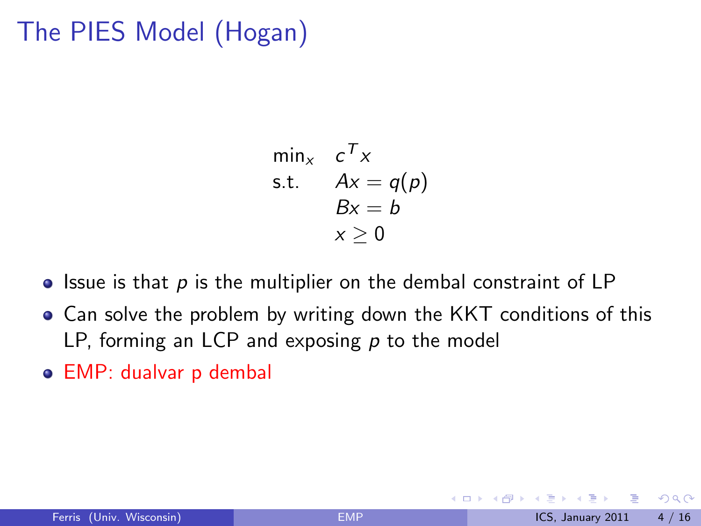# The PIES Model (Hogan)

$$
\min_{x} c^{T} x
$$
  
s.t.  $Ax = q(p)$   
 $Bx = b$   
 $x \ge 0$ 

- $\bullet$  Issue is that p is the multiplier on the dembal constraint of LP
- Can solve the problem by writing down the KKT conditions of this LP, forming an LCP and exposing  $p$  to the model
- EMP: dualvar p dembal

4 0 8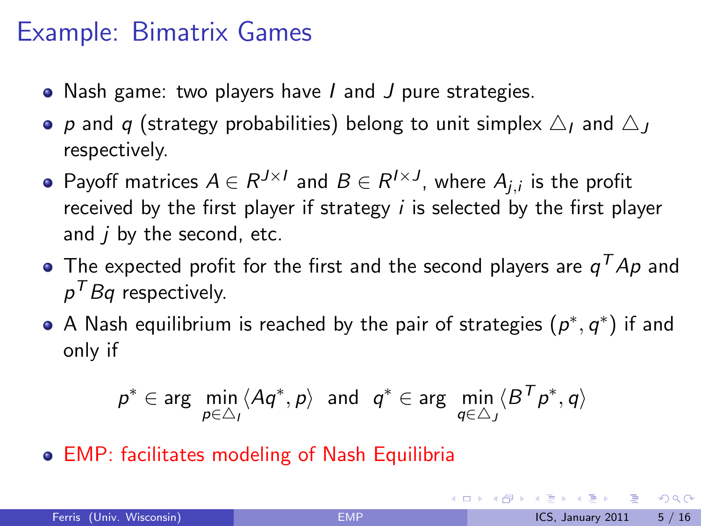## Example: Bimatrix Games

- Nash game: two players have I and J pure strategies.
- p and q (strategy probabilities) belong to unit simplex  $\triangle_I$  and  $\triangle_I$ respectively.
- Payoff matrices  $A \in R^{J \times I}$  and  $B \in R^{I \times J}$ , where  $A_{j,i}$  is the profit received by the first player if strategy  $i$  is selected by the first player and  $i$  by the second, etc.
- The expected profit for the first and the second players are  $\mathsf{q}^\mathcal{T} A \mathsf{p}$  and  $\rho^\mathcal{T} B$ q respectively.
- A Nash equilibrium is reached by the pair of strategies  $(p^*,q^*)$  if and only if

$$
p^* \in \arg\; \min_{p \in \triangle_I} \langle A q^*, p \rangle \;\; \text{and} \;\; q^* \in \arg\; \min_{q \in \triangle_J} \langle B^T p^*, q \rangle
$$

EMP: facilitates modeling of Nash Equilibria

 $\Omega$ 

イロト イ何 トイヨト イヨト ニヨー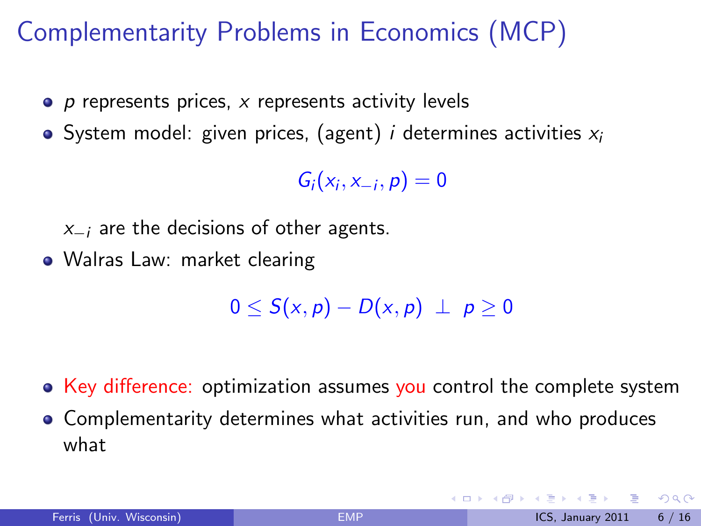# Complementarity Problems in Economics (MCP)

- $\bullet$  p represents prices, x represents activity levels
- System model: given prices, (agent) *i* determines activities  $x_i$

 $G_i(x_i, x_{-i}, p) = 0$ 

 $x_{-i}$  are the decisions of other agents.

• Walras Law: market clearing

 $0 \leq S(x, p) - D(x, p) \perp p \geq 0$ 

• Key difference: optimization assumes you control the complete system

Complementarity determines what activities run, and who produces what

<span id="page-6-0"></span> $QQQ$ 

**4 ロ ▶ 4 母 ▶ 4**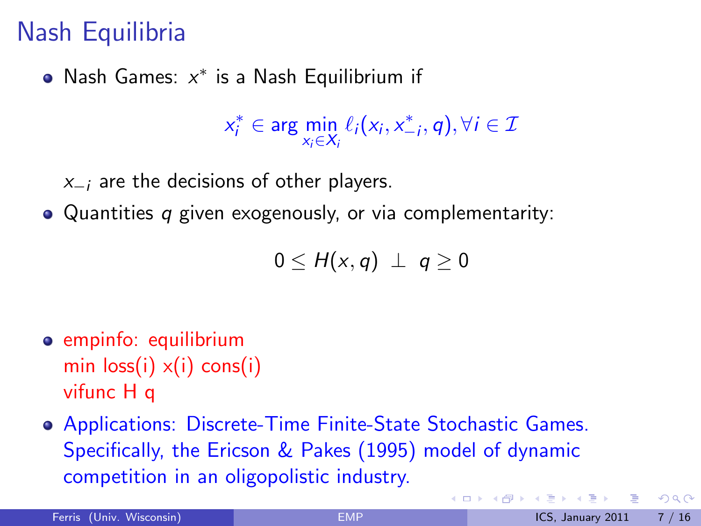# Nash Equilibria

Nash Games:  $x^*$  is a Nash Equilibrium if

 $x_i^* \in \arg\min_{x_i \in X_i} \ell_i(x_i, x_{-i}^*, q), \forall i \in \mathcal{I}$ 

 $x_{-i}$  are the decisions of other players.

• Quantities q given exogenously, or via complementarity:

$$
0\leq H(x,q) \perp q\geq 0
$$

- empinfo: equilibrium min  $loss(i) \times (i)$  cons(i) vifunc H q
- Applications: Discrete-Time Finite-State Stochastic Games. Specifically, the Ericson & Pakes (1995) model of dynamic competition in an oligopolistic industry.

<span id="page-7-0"></span> $QQ$ 

イロト イ母 トイヨ トイヨト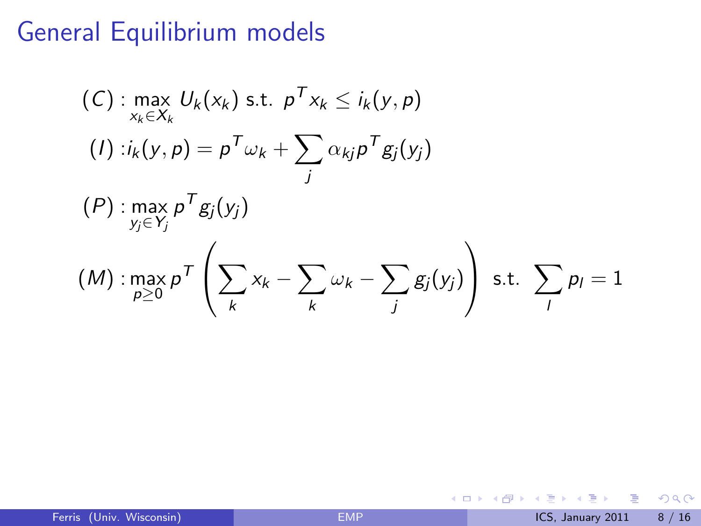# General Equilibrium models

$$
(C): \max_{x_k \in X_k} U_k(x_k) \text{ s.t. } p^T x_k \le i_k(y, p)
$$
\n
$$
(I): i_k(y, p) = p^T \omega_k + \sum_j \alpha_{kj} p^T g_j(y_j)
$$
\n
$$
(P): \max_{y_j \in Y_j} p^T g_j(y_j)
$$
\n
$$
(M): \max_{p \ge 0} p^T \left( \sum_k x_k - \sum_k \omega_k - \sum_j g_j(y_j) \right) \text{ s.t. } \sum_j p_j = 1
$$

重

<span id="page-8-0"></span> $2990$ 

イロト イ部 トメ ヨ トメ ヨト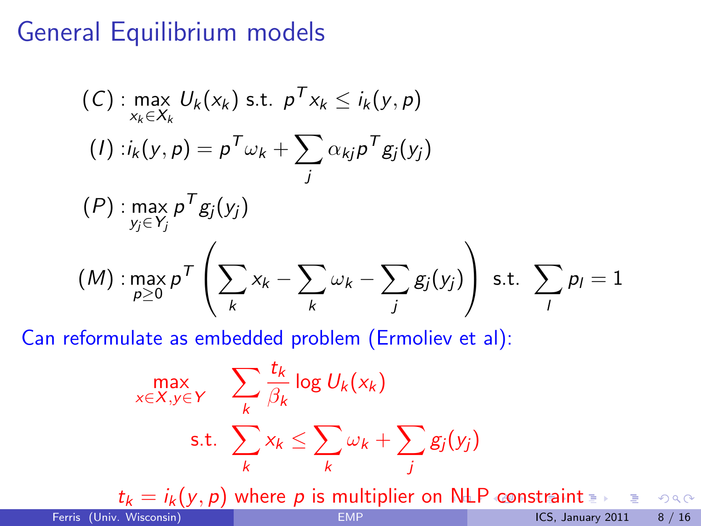# General Equilibrium models

$$
(C): \max_{x_k \in X_k} U_k(x_k) \text{ s.t. } p^T x_k \le i_k(y, p)
$$
\n
$$
(I): i_k(y, p) = p^T \omega_k + \sum_j \alpha_{kj} p^T g_j(y_j)
$$
\n
$$
(P): \max_{y_j \in Y_j} p^T g_j(y_j)
$$
\n
$$
(M): \max_{p \ge 0} p^T \left( \sum_k x_k - \sum_k \omega_k - \sum_j g_j(y_j) \right) \text{ s.t. } \sum_j p_j = 1
$$

Can reformulate as embedded problem (Ermoliev et al):

$$
\max_{x \in X, y \in Y} \sum_{k} \frac{t_k}{\beta_k} \log U_k(x_k)
$$
\n
$$
\text{s.t. } \sum_{k} x_k \le \sum_{k} \omega_k + \sum_{j} g_j(y_j)
$$

<span id="page-9-0"></span> $t_k = i_k(y, p)$  $t_k = i_k(y, p)$  $t_k = i_k(y, p)$  where p is multiplier on [N](#page-8-0)[LP](#page-10-0) [c](#page-8-0)[o](#page-9-0)[n](#page-10-0)[st](#page-6-0)[r](#page-7-0)[a](#page-13-0)[in](#page-14-0)[t](#page-0-0)  $t_k$ <br>(x Wisconsin) EMP 一番  $ORO$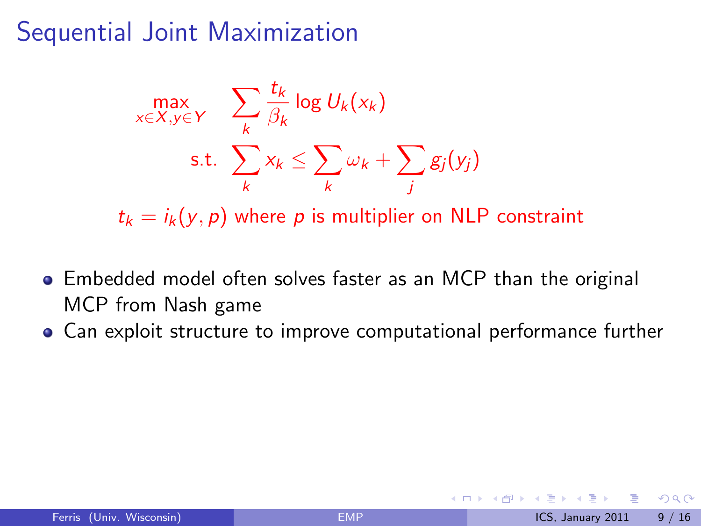# Sequential Joint Maximization

$$
\max_{x \in X, y \in Y} \sum_{k} \frac{t_k}{\beta_k} \log U_k(x_k)
$$
\n
$$
\text{s.t. } \sum_{k} x_k \le \sum_{k} \omega_k + \sum_{j} g_j(y_j)
$$

 $t_k = i_k(y, p)$  where p is multiplier on NLP constraint

- Embedded model often solves faster as an MCP than the original MCP from Nash game
- Can exploit structure to improve computational performance further

4 0 8

<span id="page-10-0"></span> $QQQ$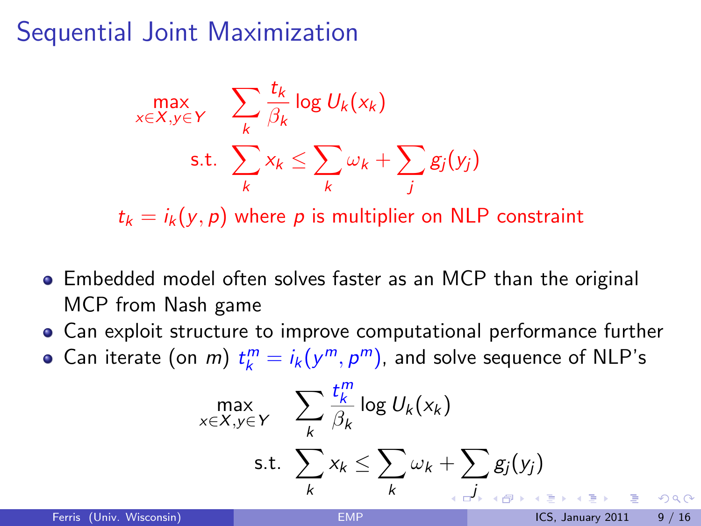# Sequential Joint Maximization

$$
\max_{x \in X, y \in Y} \sum_{k} \frac{t_k}{\beta_k} \log U_k(x_k)
$$
\n
$$
\text{s.t. } \sum_{k} x_k \le \sum_{k} \omega_k + \sum_{j} g_j(y_j)
$$

 $t_k = i_k(y, p)$  where p is multiplier on NLP constraint

- Embedded model often solves faster as an MCP than the original MCP from Nash game
- Can exploit structure to improve computational performance further
- Can iterate (on *m*)  $t_k^m = i_k(y^m, p^m)$ , and solve sequence of NLP's

$$
\max_{x \in X, y \in Y} \sum_{k} \frac{t_k^m}{\beta_k} \log U_k(x_k)
$$
\n
$$
\text{s.t. } \sum_{k} x_k \le \sum_{k} \omega_k + \sum_{j \in J_{k-1}} g_j(y_j)
$$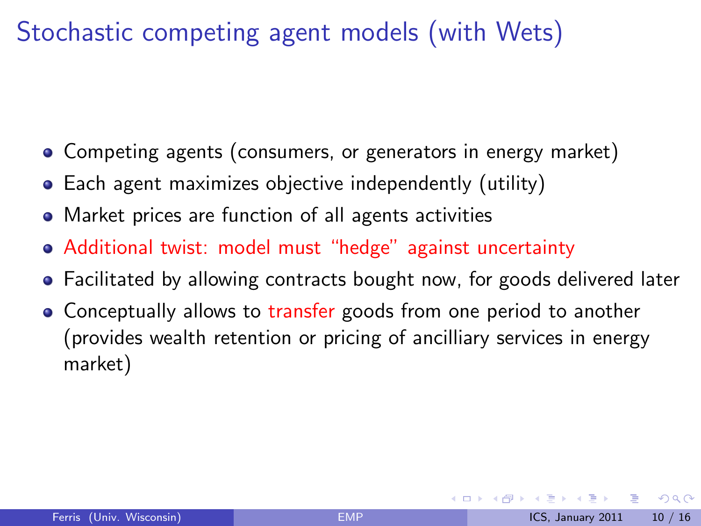# Stochastic competing agent models (with Wets)

- Competing agents (consumers, or generators in energy market)
- Each agent maximizes objective independently (utility)
- Market prices are function of all agents activities
- Additional twist: model must "hedge" against uncertainty
- Facilitated by allowing contracts bought now, for goods delivered later
- Conceptually allows to transfer goods from one period to another (provides wealth retention or pricing of ancilliary services in energy market)

<span id="page-12-0"></span> $QQ$ 

**4 ロト 4 何 ト 4**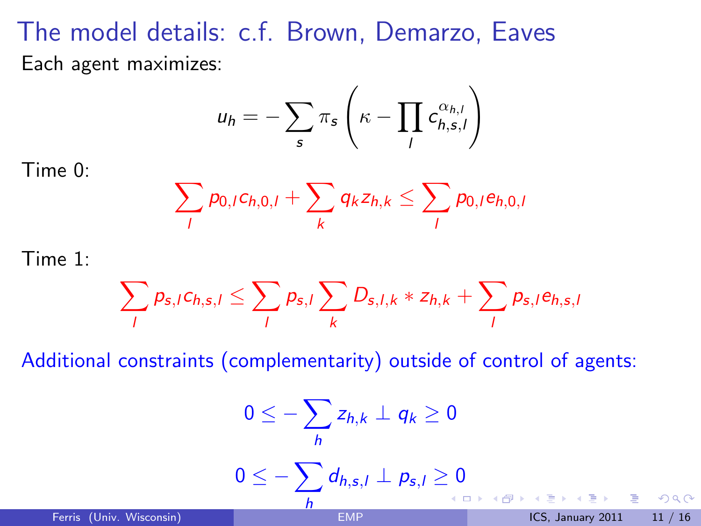# The model details: c.f. Brown, Demarzo, Eaves

Each agent maximizes:

$$
u_h = -\sum_s \pi_s \left( \kappa - \prod_l c_{h,s,l}^{\alpha_{h,l}} \right)
$$

Time 0:

$$
\sum_{l} p_{0,l} c_{h,0,l} + \sum_{k} q_k z_{h,k} \leq \sum_{l} p_{0,l} e_{h,0,l}
$$

Time 1:

<span id="page-13-0"></span>
$$
\sum_{l} p_{s,l} c_{h,s,l} \leq \sum_{l} p_{s,l} \sum_{k} D_{s,l,k} * z_{h,k} + \sum_{l} p_{s,l} e_{h,s,l}
$$

Additional constraints (complementarity) outside of control of agents:

$$
0 \leq -\sum_{h} z_{h,k} \perp q_{k} \geq 0
$$
  

$$
0 \leq -\sum_{h} d_{h,s,l} \perp p_{s,l} \geq 0
$$
  
Ferris (Univ. Wisconsin)  

$$
EMP
$$
  
LCS, January 2011 11/16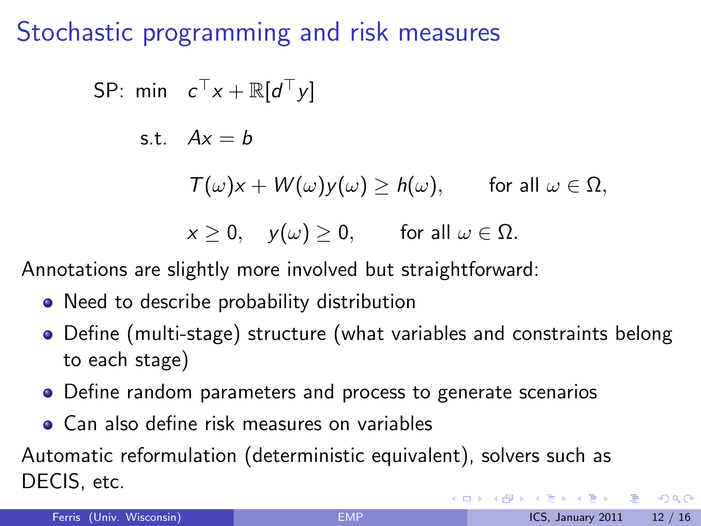Stochastic programming and risk measures

SP: min 
$$
c^{\top}x + \mathbb{R}[d^{\top}y]
$$
  
\ns.t.  $Ax = b$   
\n $T(\omega)x + W(\omega)y(\omega) \ge h(\omega)$ , for all  $\omega \in \Omega$ ,  
\n $x \ge 0$ ,  $y(\omega) \ge 0$ , for all  $\omega \in \Omega$ .

Annotations are slightly more involved but straightforward:

- Need to describe probability distribution
- Define (multi-stage) structure (what variables and constraints belong to each stage)
- Define random parameters and process to generate scenarios
- **Can also define risk measures on variables**

Automatic reformulation (deterministic equivalent), solvers such as DECIS, etc.

<span id="page-14-0"></span> $\Omega$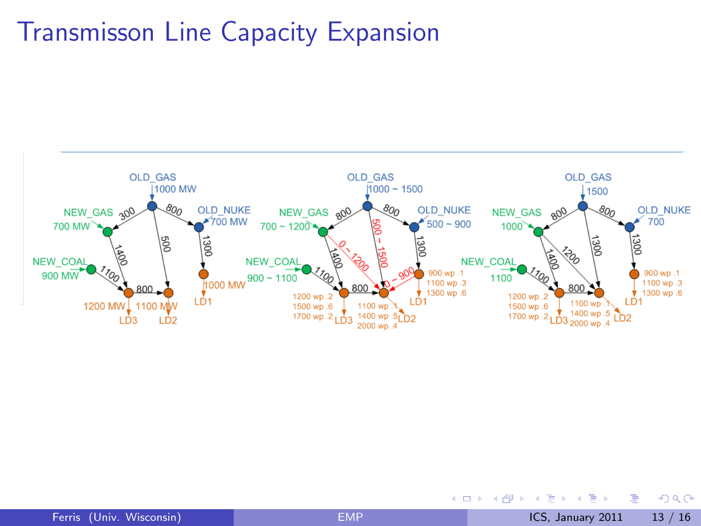### Transmisson Line Capacity Expansion problems.'



<span id="page-15-0"></span>Figure'(b):'To'sa,sfy'the'increased'(uncertain)'dem[and](#page-14-0)'[in](#page-16-0)['t](#page-14-0)[he'](#page-15-0)[fu](#page-16-0)[t](#page-13-0)[ur](#page-14-0)[e](#page-17-0)[,'](#page-18-0)[th](#page-0-0)[e](#page-1-0)['a](#page-17-0)[u](#page-18-0)[th](#page-0-0)[ority](#page-18-0)'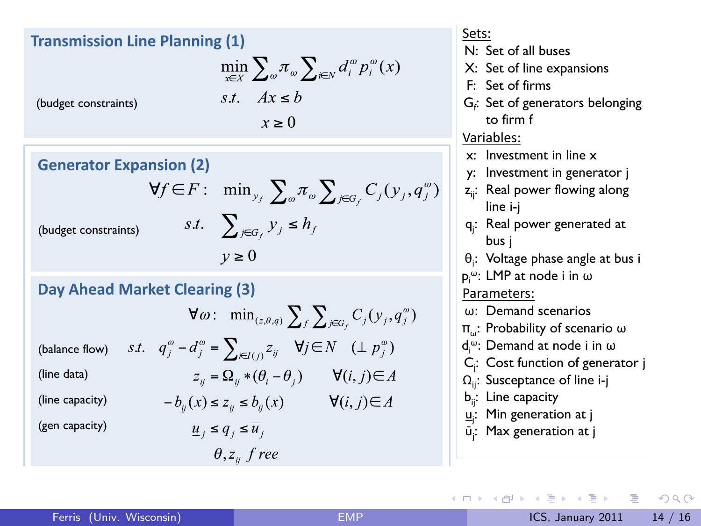### **Transmission Line Planning (1)**

$$
\min_{x \in X} \sum_{\omega} \pi_{\omega} \sum_{i \in N} d_i^{\omega} p_i^{\omega}(x)
$$

(budget constraints)

(budget constraints)

(balance flow) (line data)

$$
s.t. \quad Ax \leq b
$$
  

$$
x \geq 0
$$

**Generator Expansion (2)** 

$$
f \in F: \min_{y_f} \sum_{\omega} \pi_{\omega} \sum_{j \in G_f} C_j(y_j, q_j^{\omega})
$$
  
s.t. 
$$
\sum_{j \in G_f} y_j \le h_f
$$
  

$$
y \ge 0
$$

#### **Day Ahead Market Clearing (3)**

v

$$
\forall \omega : \min_{(z,\theta,q)} \sum_{f} \sum_{j \in G_f} C_j(y_j, q_j^{\omega})
$$
  
s.t.  $q_j^{\omega} - d_j^{\omega} = \sum_{i \in I(j)} z_{ij} \quad \forall j \in N \quad (\perp p_j^{\omega})$   
 $z_{ij} = \Omega_{ij} * (\theta_i - \theta_j) \qquad \forall (i, j) \in A$ 

 $-b_{ii}(x) \le z_{ii} \le b_{ii}(x)$   $\forall (i, j) \in A$ (line capacity) (gen capacity)

 $\underline{u}_i \leq q_i \leq \overline{u}_i$  $\theta, z_{ii}$  f ree

#### Sets:

- $N<sup>1</sup>$  Set of all buses
- X: Set of line expansions
- F: Set of firms
- $G_f$ : Set of generators belonging to firm f

#### Variables:'

- x: Investment in line x
- y: Investment in generator j
- z<sub>ii</sub>: Real power flowing along line i-j
- q<sub>j</sub>: Real power generated at bus j
- θ<sub>i</sub>: Voltage phase angle at bus i
- p<sub>i</sub>ω: LMP at node i in ω

#### Parameters:

- ω: Demand scenarios
- πω: Probability of scenario ω
- d<sub>i</sub>": Demand at node i in ω
- Cj : Cost function of generator j
- $\Omega_{ii}$ : Susceptance of line i-j
- b<sub>ii</sub>: Line capacity
- <u>u</u><sub>i</sub>: Min generation at j
- <span id="page-16-0"></span>ū<sub>j</sub>: Max generation at j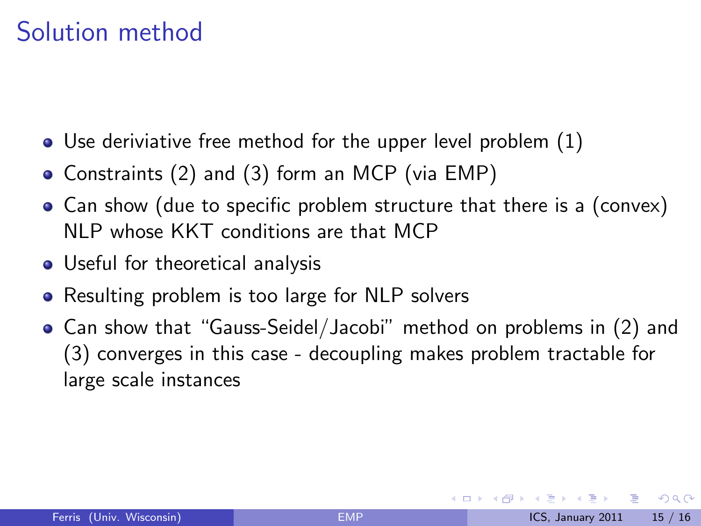# Solution method

- Use deriviative free method for the upper level problem (1)
- Constraints (2) and (3) form an MCP (via EMP)
- Can show (due to specific problem structure that there is a (convex) NLP whose KKT conditions are that MCP
- Useful for theoretical analysis
- Resulting problem is too large for NLP solvers
- Can show that "Gauss-Seidel/Jacobi" method on problems in (2) and (3) converges in this case - decoupling makes problem tractable for large scale instances

<span id="page-17-0"></span> $QQQ$